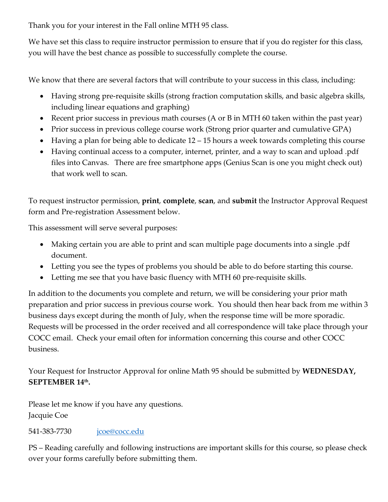Thank you for your interest in the Fall online MTH 95 class.

We have set this class to require instructor permission to ensure that if you do register for this class, you will have the best chance as possible to successfully complete the course.

We know that there are several factors that will contribute to your success in this class, including:

- Having strong pre-requisite skills (strong fraction computation skills, and basic algebra skills, including linear equations and graphing)
- Recent prior success in previous math courses (A or B in MTH 60 taken within the past year)
- Prior success in previous college course work (Strong prior quarter and cumulative GPA)
- Having a plan for being able to dedicate 12 15 hours a week towards completing this course
- Having continual access to a computer, internet, printer, and a way to scan and upload .pdf files into Canvas. There are free smartphone apps (Genius Scan is one you might check out) that work well to scan.

To request instructor permission, **print**, **complete**, **scan**, and **submit** the Instructor Approval Request form and Pre-registration Assessment below.

This assessment will serve several purposes:

- Making certain you are able to print and scan multiple page documents into a single .pdf document.
- Letting you see the types of problems you should be able to do before starting this course.
- Letting me see that you have basic fluency with MTH 60 pre-requisite skills.

In addition to the documents you complete and return, we will be considering your prior math preparation and prior success in previous course work. You should then hear back from me within 3 business days except during the month of July, when the response time will be more sporadic. Requests will be processed in the order received and all correspondence will take place through your COCC email. Check your email often for information concerning this course and other COCC business.

Your Request for Instructor Approval for online Math 95 should be submitted by **WEDNESDAY,**  SEPTEMBER 14th.

Please let me know if you have any questions. Jacquie Coe

## 541-383-7730 <u>[jcoe@cocc.edu](mailto:jcoe@cocc.edu)</u>

PS – Reading carefully and following instructions are important skills for this course, so please check over your forms carefully before submitting them.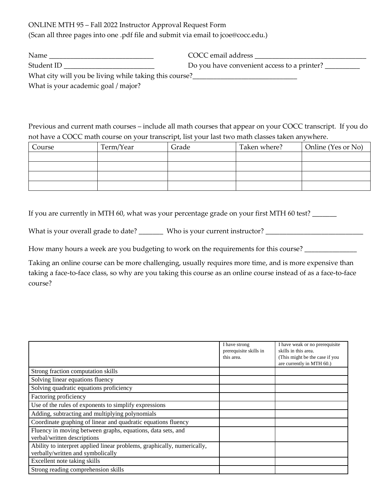ONLINE MTH 95 – Fall 2022 Instructor Approval Request Form

(Scan all three pages into one .pdf file and submit via email to jcoe@cocc.edu.)

| Name                                                   | COCC email address                          |  |  |
|--------------------------------------------------------|---------------------------------------------|--|--|
| Student ID                                             | Do you have convenient access to a printer? |  |  |
| What city will you be living while taking this course? |                                             |  |  |
| What is your academic goal / major?                    |                                             |  |  |

Previous and current math courses – include all math courses that appear on your COCC transcript. If you do not have a COCC math course on your transcript, list your last two math classes taken anywhere.

| Course | Term/Year | Grade | Taken where? | Online (Yes or No) |
|--------|-----------|-------|--------------|--------------------|
|        |           |       |              |                    |
|        |           |       |              |                    |
|        |           |       |              |                    |
|        |           |       |              |                    |

If you are currently in MTH 60, what was your percentage grade on your first MTH 60 test?

What is your overall grade to date? \_\_\_\_\_\_\_ Who is your current instructor? \_\_\_\_\_\_\_\_\_\_\_\_\_\_\_\_\_\_\_\_\_\_\_\_\_\_\_\_\_\_\_\_\_\_

How many hours a week are you budgeting to work on the requirements for this course? \_\_\_\_\_\_\_\_\_\_\_\_\_\_

Taking an online course can be more challenging, usually requires more time, and is more expensive than taking a face-to-face class, so why are you taking this course as an online course instead of as a face-to-face course?

|                                                                                                              | I have strong<br>prerequisite skills in<br>this area. | I have weak or no prerequisite<br>skills in this area.<br>(This might be the case if you<br>are currently in MTH 60.) |
|--------------------------------------------------------------------------------------------------------------|-------------------------------------------------------|-----------------------------------------------------------------------------------------------------------------------|
| Strong fraction computation skills                                                                           |                                                       |                                                                                                                       |
| Solving linear equations fluency                                                                             |                                                       |                                                                                                                       |
| Solving quadratic equations proficiency                                                                      |                                                       |                                                                                                                       |
| Factoring proficiency                                                                                        |                                                       |                                                                                                                       |
| Use of the rules of exponents to simplify expressions                                                        |                                                       |                                                                                                                       |
| Adding, subtracting and multiplying polynomials                                                              |                                                       |                                                                                                                       |
| Coordinate graphing of linear and quadratic equations fluency                                                |                                                       |                                                                                                                       |
| Fluency in moving between graphs, equations, data sets, and<br>verbal/written descriptions                   |                                                       |                                                                                                                       |
| Ability to interpret applied linear problems, graphically, numerically,<br>verbally/written and symbolically |                                                       |                                                                                                                       |
| Excellent note taking skills                                                                                 |                                                       |                                                                                                                       |
| Strong reading comprehension skills                                                                          |                                                       |                                                                                                                       |